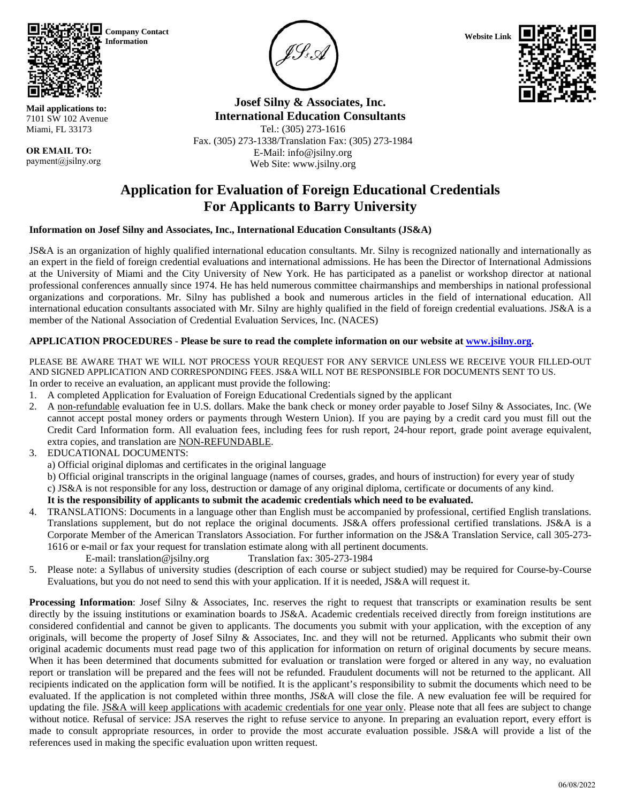

**Mail applications to:**  7101 SW 102 Avenue Miami, FL 33173

**OR EMAIL TO:** payment@jsilny.org





**Josef Silny & Associates, Inc. International Education Consultants** Tel.: (305) 273-1616 Fax. (305) 273-1338/Translation Fax: (305) 273-1984 E-Mail: info@jsilny.org Web Site: www.jsilny.org

# **Application for Evaluation of Foreign Educational Credentials For Applicants to Barry University**

## **Information on Josef Silny and Associates, Inc., International Education Consultants (JS&A)**

JS&A is an organization of highly qualified international education consultants. Mr. Silny is recognized nationally and internationally as an expert in the field of foreign credential evaluations and international admissions. He has been the Director of International Admissions at the University of Miami and the City University of New York. He has participated as a panelist or workshop director at national professional conferences annually since 1974. He has held numerous committee chairmanships and memberships in national professional organizations and corporations. Mr. Silny has published a book and numerous articles in the field of international education. All international education consultants associated with Mr. Silny are highly qualified in the field of foreign credential evaluations. JS&A is a member of the National Association of Credential Evaluation Services, Inc. (NACES)

## **APPLICATION PROCEDURES - Please be sure to read the complete information on our website a[t www.jsilny.org.](http://www.jsilny.org/)**

PLEASE BE AWARE THAT WE WILL NOT PROCESS YOUR REQUEST FOR ANY SERVICE UNLESS WE RECEIVE YOUR FILLED-OUT AND SIGNED APPLICATION AND CORRESPONDING FEES. JS&A WILL NOT BE RESPONSIBLE FOR DOCUMENTS SENT TO US. In order to receive an evaluation, an applicant must provide the following:

- 1. A completed Application for Evaluation of Foreign Educational Credentials signed by the applicant
- 2. A non-refundable evaluation fee in U.S. dollars. Make the bank check or money order payable to Josef Silny & Associates, Inc. (We cannot accept postal money orders or payments through Western Union). If you are paying by a credit card you must fill out the Credit Card Information form. All evaluation fees, including fees for rush report, 24-hour report, grade point average equivalent, extra copies, and translation are NON-REFUNDABLE.
- 3. EDUCATIONAL DOCUMENTS:
	- a) Official original diplomas and certificates in the original language
	- b) Official original transcripts in the original language (names of courses, grades, and hours of instruction) for every year of study

c) JS&A is not responsible for any loss, destruction or damage of any original diploma, certificate or documents of any kind.

**It is the responsibility of applicants to submit the academic credentials which need to be evaluated.**

4. TRANSLATIONS: Documents in a language other than English must be accompanied by professional, certified English translations. Translations supplement, but do not replace the original documents. JS&A offers professional certified translations. JS&A is a Corporate Member of the American Translators Association. For further information on the JS&A Translation Service, call 305-273- 1616 or e-mail or fax your request for translation estimate along with all pertinent documents.

E-mail: translation@jsilny.org Translation fax: 305-273-1984

5. Please note: a Syllabus of university studies (description of each course or subject studied) may be required for Course-by-Course Evaluations, but you do not need to send this with your application. If it is needed, JS&A will request it.

**Processing Information**: Josef Silny & Associates, Inc. reserves the right to request that transcripts or examination results be sent directly by the issuing institutions or examination boards to JS&A. Academic credentials received directly from foreign institutions are considered confidential and cannot be given to applicants. The documents you submit with your application, with the exception of any originals, will become the property of Josef Silny & Associates, Inc. and they will not be returned. Applicants who submit their own original academic documents must read page two of this application for information on return of original documents by secure means. When it has been determined that documents submitted for evaluation or translation were forged or altered in any way, no evaluation report or translation will be prepared and the fees will not be refunded. Fraudulent documents will not be returned to the applicant. All recipients indicated on the application form will be notified. It is the applicant's responsibility to submit the documents which need to be evaluated. If the application is not completed within three months, JS&A will close the file. A new evaluation fee will be required for updating the file. JS&A will keep applications with academic credentials for one year only. Please note that all fees are subject to change without notice. Refusal of service: JSA reserves the right to refuse service to anyone. In preparing an evaluation report, every effort is made to consult appropriate resources, in order to provide the most accurate evaluation possible. JS&A will provide a list of the references used in making the specific evaluation upon written request.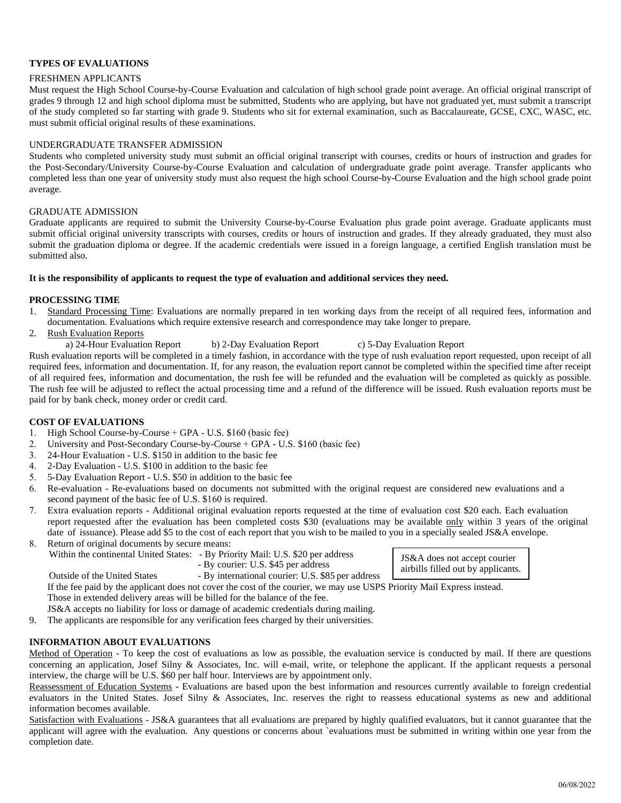### **TYPES OF EVALUATIONS**

#### FRESHMEN APPLICANTS

Must request the High School Course-by-Course Evaluation and calculation of high school grade point average. An official original transcript of grades 9 through 12 and high school diploma must be submitted, Students who are applying, but have not graduated yet, must submit a transcript of the study completed so far starting with grade 9. Students who sit for external examination, such as Baccalaureate, GCSE, CXC, WASC, etc. must submit official original results of these examinations.

#### UNDERGRADUATE TRANSFER ADMISSION

Students who completed university study must submit an official original transcript with courses, credits or hours of instruction and grades for the Post-Secondary/University Course-by-Course Evaluation and calculation of undergraduate grade point average. Transfer applicants who completed less than one year of university study must also request the high school Course-by-Course Evaluation and the high school grade point average.

#### GRADUATE ADMISSION

Graduate applicants are required to submit the University Course-by-Course Evaluation plus grade point average. Graduate applicants must submit official original university transcripts with courses, credits or hours of instruction and grades. If they already graduated, they must also submit the graduation diploma or degree. If the academic credentials were issued in a foreign language, a certified English translation must be submitted also.

#### **It is the responsibility of applicants to request the type of evaluation and additional services they need.**

#### **PROCESSING TIME**

- 1. Standard Processing Time: Evaluations are normally prepared in ten working days from the receipt of all required fees, information and documentation. Evaluations which require extensive research and correspondence may take longer to prepare.
- 2. Rush Evaluation Reports

a) 24-Hour Evaluation Report b) 2-Day Evaluation Report c) 5-Day Evaluation Report

Rush evaluation reports will be completed in a timely fashion, in accordance with the type of rush evaluation report requested, upon receipt of all required fees, information and documentation. If, for any reason, the evaluation report cannot be completed within the specified time after receipt of all required fees, information and documentation, the rush fee will be refunded and the evaluation will be completed as quickly as possible. The rush fee will be adjusted to reflect the actual processing time and a refund of the difference will be issued. Rush evaluation reports must be paid for by bank check, money order or credit card.

#### **COST OF EVALUATIONS**

- 1. High School Course-by-Course + GPA U.S. \$160 (basic fee)
- 2. University and Post-Secondary Course-by-Course + GPA U.S. \$160 (basic fee)
- 3. 24-Hour Evaluation U.S. \$150 in addition to the basic fee
- 4. 2-Day Evaluation U.S. \$100 in addition to the basic fee
- 5. 5-Day Evaluation Report U.S. \$50 in addition to the basic fee
- 6. Re-evaluation Re-evaluations based on documents not submitted with the original request are considered new evaluations and a second payment of the basic fee of U.S. \$160 is required.
- 7. Extra evaluation reports Additional original evaluation reports requested at the time of evaluation cost \$20 each. Each evaluation report requested after the evaluation has been completed costs \$30 (evaluations may be available only within 3 years of the original date of issuance). Please add \$5 to the cost of each report that you wish to be mailed to you in a specially sealed JS&A envelope.
- 8. Return of original documents by secure means:
	- Within the continental United States: By Priority Mail: U.S. \$20 per address

- By courier: U.S. \$45 per address

- JS&A does not accept courier airbills filled out by applicants.
- Outside of the United States By international courier: U.S. \$85 per address If the fee paid by the applicant does not cover the cost of the courier, we may use USPS Priority Mail Express instead. Those in extended delivery areas will be billed for the balance of the fee.

JS&A accepts no liability for loss or damage of academic credentials during mailing.

9. The applicants are responsible for any verification fees charged by their universities.

#### **INFORMATION ABOUT EVALUATIONS**

Method of Operation - To keep the cost of evaluations as low as possible, the evaluation service is conducted by mail. If there are questions concerning an application, Josef Silny & Associates, Inc. will e-mail, write, or telephone the applicant. If the applicant requests a personal interview, the charge will be U.S. \$60 per half hour. Interviews are by appointment only.

Reassessment of Education Systems - Evaluations are based upon the best information and resources currently available to foreign credential evaluators in the United States. Josef Silny & Associates, Inc. reserves the right to reassess educational systems as new and additional information becomes available.

Satisfaction with Evaluations - JS&A guarantees that all evaluations are prepared by highly qualified evaluators, but it cannot guarantee that the applicant will agree with the evaluation. Any questions or concerns about `evaluations must be submitted in writing within one year from the completion date.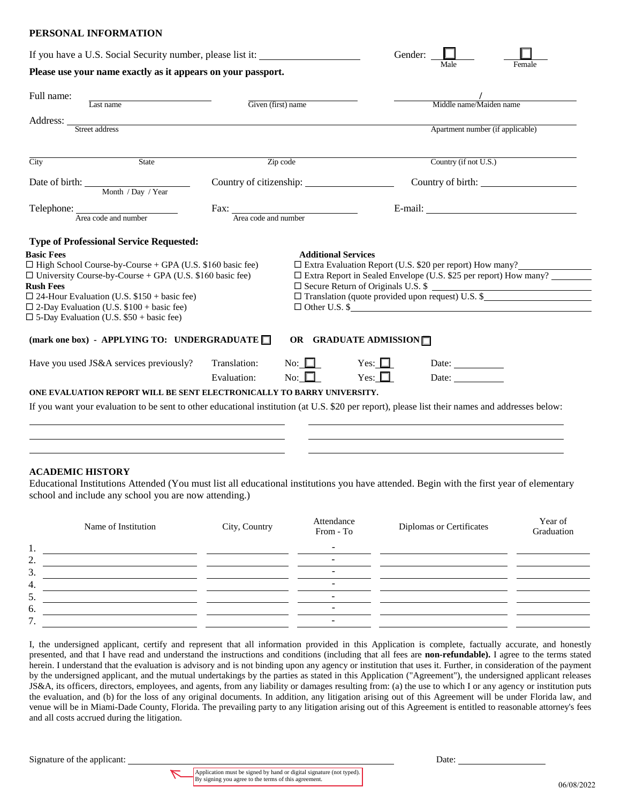## **PERSONAL INFORMATION**

| Full name:<br>Last name                                                                                                                                                                                                                                                                                                                                                                        | Given (first) name           | Middle name/Maiden name                                                                                                                                                                                                         |
|------------------------------------------------------------------------------------------------------------------------------------------------------------------------------------------------------------------------------------------------------------------------------------------------------------------------------------------------------------------------------------------------|------------------------------|---------------------------------------------------------------------------------------------------------------------------------------------------------------------------------------------------------------------------------|
| Address:<br>Street address                                                                                                                                                                                                                                                                                                                                                                     |                              |                                                                                                                                                                                                                                 |
|                                                                                                                                                                                                                                                                                                                                                                                                |                              | Apartment number (if applicable)                                                                                                                                                                                                |
| City<br><b>State</b>                                                                                                                                                                                                                                                                                                                                                                           | Zip code                     | Country (if not U.S.)                                                                                                                                                                                                           |
| Date of birth: Month / Day / Year                                                                                                                                                                                                                                                                                                                                                              |                              |                                                                                                                                                                                                                                 |
| Telephone: Area code and number                                                                                                                                                                                                                                                                                                                                                                | Fax: Area code and number    |                                                                                                                                                                                                                                 |
|                                                                                                                                                                                                                                                                                                                                                                                                |                              |                                                                                                                                                                                                                                 |
| <b>Type of Professional Service Requested:</b><br><b>Basic Fees</b><br>$\Box$ High School Course-by-Course + GPA (U.S. \$160 basic fee)<br>$\Box$ University Course-by-Course + GPA (U.S. \$160 basic fee)<br><b>Rush Fees</b><br>$\Box$ 24-Hour Evaluation (U.S. \$150 + basic fee)<br>$\Box$ 2-Day Evaluation (U.S. \$100 + basic fee)<br>$\square$ 5-Day Evaluation (U.S. \$50 + basic fee) |                              | <b>Additional Services</b><br>□ Secure Return of Originals U.S. \$<br>$\Box$ Other U.S. \$                                                                                                                                      |
| (mark one box) - APPLYING TO: UNDERGRADUATE                                                                                                                                                                                                                                                                                                                                                    |                              | OR GRADUATE ADMISSION                                                                                                                                                                                                           |
| Have you used JS&A services previously?                                                                                                                                                                                                                                                                                                                                                        | Translation:<br>No: $\Box$   | □ Extra Evaluation Report (U.S. \$20 per report) How many?<br>$\square$ Extra Report in Sealed Envelope (U.S. \$25 per report) How many?<br>$\Box$ Translation (quote provided upon request) U.S. \$<br>Yes: $\square$<br>Date: |
| ONE EVALUATION REPORT WILL BE SENT ELECTRONICALLY TO BARRY UNIVERSITY.                                                                                                                                                                                                                                                                                                                         | No: $\square$<br>Evaluation: | Yes: $\Box$<br>Date:                                                                                                                                                                                                            |

### **ACADEMIC HISTORY**

Educational Institutions Attended (You must list all educational institutions you have attended. Begin with the first year of elementary school and include any school you are now attending.)

|         | Name of Institution | City, Country | Attendance<br>From - To  | Diplomas or Certificates | Year of<br>Graduation |
|---------|---------------------|---------------|--------------------------|--------------------------|-----------------------|
| 1.      |                     |               | $\overline{\phantom{0}}$ |                          |                       |
| 2.      |                     |               | $\overline{\phantom{0}}$ |                          |                       |
| 3.      |                     |               | $\overline{\phantom{a}}$ |                          |                       |
| 4.      |                     |               | $\overline{\phantom{0}}$ |                          |                       |
| 5.      |                     |               | $\overline{\phantom{a}}$ |                          |                       |
| 6.      |                     |               | $\overline{\phantom{a}}$ |                          |                       |
| 7<br>., |                     |               | $\overline{\phantom{a}}$ |                          |                       |

I, the undersigned applicant, certify and represent that all information provided in this Application is complete, factually accurate, and honestly presented, and that I have read and understand the instructions and conditions (including that all fees are **non-refundable).** I agree to the terms stated herein. I understand that the evaluation is advisory and is not binding upon any agency or institution that uses it. Further, in consideration of the payment by the undersigned applicant, and the mutual undertakings by the parties as stated in this Application ("Agreement"), the undersigned applicant releases JS&A, its officers, directors, employees, and agents, from any liability or damages resulting from: (a) the use to which I or any agency or institution puts the evaluation, and (b) for the loss of any original documents. In addition, any litigation arising out of this Agreement will be under Florida law, and venue will be in Miami-Dade County, Florida. The prevailing party to any litigation arising out of this Agreement is entitled to reasonable attorney's fees and all costs accrued during the litigation.

Signature of the applicant: Date: Date: Date: Date: Date: Date: Date: Date: Date: Date: Date: Date: Date: Date: Date: Date: Date: Date: Date: Date: Date: Date: Date: Date: Date: Date: Date: Date: Date: Date: Date: Date: Da

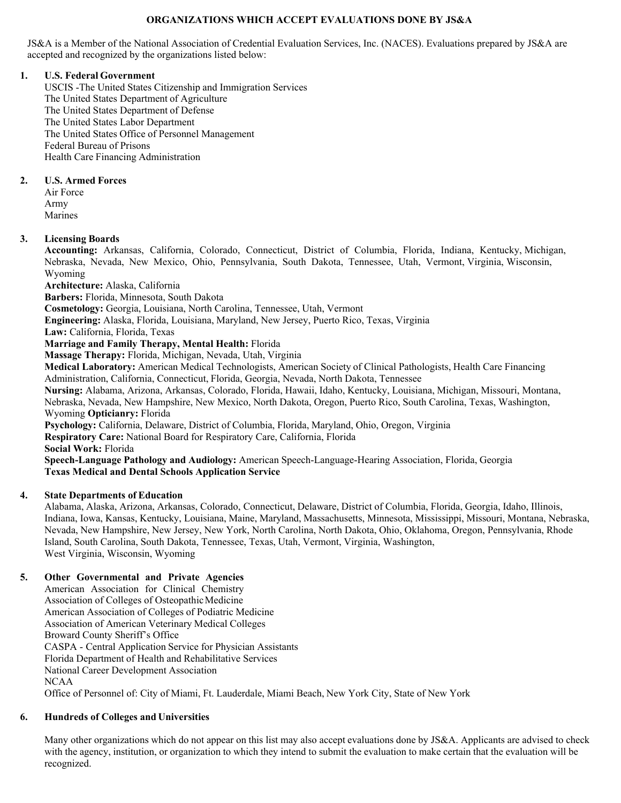# **ORGANIZATIONS WHICH ACCEPT EVALUATIONS DONE BY JS&A**

JS&A is a Member of the National Association of Credential Evaluation Services, Inc. (NACES). Evaluations prepared by JS&A are accepted and recognized by the organizations listed below:

## **1. U.S. Federal Government**

USCIS -The United States Citizenship and Immigration Services The United States Department of Agriculture The United States Department of Defense The United States Labor Department The United States Office of Personnel Management Federal Bureau of Prisons Health Care Financing Administration

## **2. U.S. Armed Forces**

Air Force Army Marines

# **3. Licensing Boards**

**Accounting:** Arkansas, California, Colorado, Connecticut, District of Columbia, Florida, Indiana, Kentucky, Michigan, Nebraska, Nevada, New Mexico, Ohio, Pennsylvania, South Dakota, Tennessee, Utah, Vermont, Virginia, Wisconsin, Wyoming

**Architecture:** Alaska, California

**Barbers:** Florida, Minnesota, South Dakota

**Cosmetology:** Georgia, Louisiana, North Carolina, Tennessee, Utah, Vermont

**Engineering:** Alaska, Florida, Louisiana, Maryland, New Jersey, Puerto Rico, Texas, Virginia

**Law:** California, Florida, Texas

## **Marriage and Family Therapy, Mental Health:** Florida

**Massage Therapy:** Florida, Michigan, Nevada, Utah, Virginia

**Medical Laboratory:** American Medical Technologists, American Society of Clinical Pathologists, Health Care Financing Administration, California, Connecticut, Florida, Georgia, Nevada, North Dakota, Tennessee

**Nursing:** Alabama, Arizona, Arkansas, Colorado, Florida, Hawaii, Idaho, Kentucky, Louisiana, Michigan, Missouri, Montana, Nebraska, Nevada, New Hampshire, New Mexico, North Dakota, Oregon, Puerto Rico, South Carolina, Texas, Washington, Wyoming **Opticianry:** Florida

**Psychology:** California, Delaware, District of Columbia, Florida, Maryland, Ohio, Oregon, Virginia **Respiratory Care:** National Board for Respiratory Care, California, Florida **Social Work:** Florida

**Speech-Language Pathology and Audiology:** American Speech-Language-Hearing Association, Florida, Georgia **Texas Medical and Dental Schools Application Service**

## **4. State Departments of Education**

Alabama, Alaska, Arizona, Arkansas, Colorado, Connecticut, Delaware, District of Columbia, Florida, Georgia, Idaho, Illinois, Indiana, Iowa, Kansas, Kentucky, Louisiana, Maine, Maryland, Massachusetts, Minnesota, Mississippi, Missouri, Montana, Nebraska, Nevada, New Hampshire, New Jersey, New York, North Carolina, North Dakota, Ohio, Oklahoma, Oregon, Pennsylvania, Rhode Island, South Carolina, South Dakota, Tennessee, Texas, Utah, Vermont, Virginia, Washington, West Virginia, Wisconsin, Wyoming

# **5. Other Governmental and Private Agencies**

American Association for Clinical Chemistry Association of Colleges of Osteopathic Medicine American Association of Colleges of Podiatric Medicine Association of American Veterinary Medical Colleges Broward County Sheriff's Office CASPA - Central Application Service for Physician Assistants Florida Department of Health and Rehabilitative Services National Career Development Association NCAA Office of Personnel of: City of Miami, Ft. Lauderdale, Miami Beach, New York City, State of New York

## **6. Hundreds of Colleges and Universities**

Many other organizations which do not appear on this list may also accept evaluations done by JS&A. Applicants are advised to check with the agency, institution, or organization to which they intend to submit the evaluation to make certain that the evaluation will be recognized.